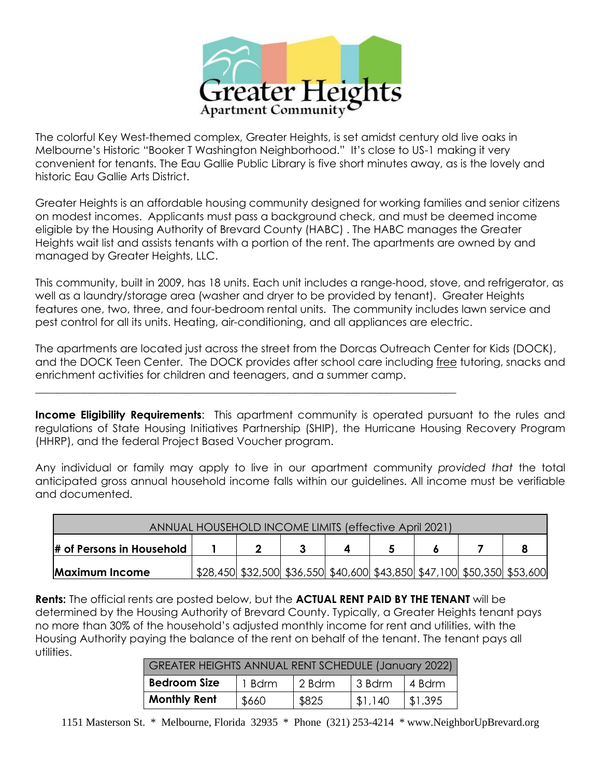

The colorful Key West-themed complex, Greater Heights, is set amidst century old live oaks in Melbourne's Historic "Booker T Washington Neighborhood." It's close to US-1 making it very convenient for tenants. The Eau Gallie Public Library is five short minutes away, as is the lovely and historic Eau Gallie Arts District.

Greater Heights is an affordable housing community designed for working families and senior citizens on modest incomes. Applicants must pass a background check, and must be deemed income eligible by the Housing Authority of Brevard County (HABC) . The HABC manages the Greater Heights wait list and assists tenants with a portion of the rent. The apartments are owned by and managed by Greater Heights, LLC.

This community, built in 2009, has 18 units. Each unit includes a range-hood, stove, and refrigerator, as well as a laundry/storage area (washer and dryer to be provided by tenant). Greater Heights features one, two, three, and four-bedroom rental units. The community includes lawn service and pest control for all its units. Heating, air-conditioning, and all appliances are electric.

The apartments are located just across the street from the Dorcas Outreach Center for Kids (DOCK), and the DOCK Teen Center. The DOCK provides after school care including free tutoring, snacks and enrichment activities for children and teenagers, and a summer camp.

\_\_\_\_\_\_\_\_\_\_\_\_\_\_\_\_\_\_\_\_\_\_\_\_\_\_\_\_\_\_\_\_\_\_\_\_\_\_\_\_\_\_\_\_\_\_\_\_\_\_\_\_\_\_\_\_\_\_\_\_\_\_\_\_\_\_\_\_\_\_\_\_\_\_\_\_\_\_

**Income Eligibility Requirements:** This apartment community is operated pursuant to the rules and regulations of State Housing Initiatives Partnership (SHIP), the Hurricane Housing Recovery Program (HHRP), and the federal Project Based Voucher program.

Any individual or family may apply to live in our apartment community *provided that* the total anticipated gross annual household income falls within our guidelines. All income must be verifiable and documented.

| ANNUAL HOUSEHOLD INCOME LIMITS (effective April 2021) |  |  |  |  |                                                                         |  |  |  |  |  |
|-------------------------------------------------------|--|--|--|--|-------------------------------------------------------------------------|--|--|--|--|--|
| $\#$ of Persons in Household                          |  |  |  |  |                                                                         |  |  |  |  |  |
| <b>Maximum Income</b>                                 |  |  |  |  | \$28,450 \$32,500 \$36,550 \$40,600 \$43,850 \$47,100 \$50,350 \$53,600 |  |  |  |  |  |

**Rents:** The official rents are posted below, but the **ACTUAL RENT PAID BY THE TENANT** will be determined by the Housing Authority of Brevard County. Typically, a Greater Heights tenant pays no more than 30% of the household's adjusted monthly income for rent and utilities, with the Housing Authority paying the balance of the rent on behalf of the tenant. The tenant pays all utilities.

| GREATER HEIGHTS ANNUAL RENT SCHEDULE (January 2022) |       |        |         |         |  |  |  |  |  |
|-----------------------------------------------------|-------|--------|---------|---------|--|--|--|--|--|
| <b>Bedroom Size</b><br>1 Bdrm                       |       | 2 Bdrm | 3 Bdrm  | 4 Bdrm  |  |  |  |  |  |
| <b>Monthly Rent</b>                                 | \$660 | \$825  | \$1.140 | \$1.395 |  |  |  |  |  |

1151 Masterson St. \* Melbourne, Florida 32935 \* Phone (321) 253-4214 \* www.NeighborUpBrevard.org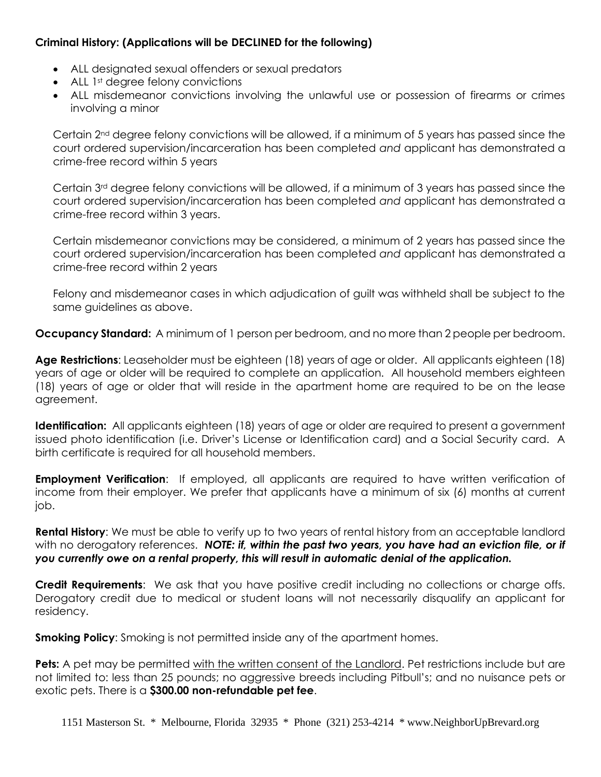## **Criminal History: (Applications will be DECLINED for the following)**

- ALL designated sexual offenders or sexual predators
- ALL 1<sup>st</sup> degree felony convictions
- ALL misdemeanor convictions involving the unlawful use or possession of firearms or crimes involving a minor

Certain 2nd degree felony convictions will be allowed, if a minimum of 5 years has passed since the court ordered supervision/incarceration has been completed *and* applicant has demonstrated a crime-free record within 5 years

Certain 3rd degree felony convictions will be allowed, if a minimum of 3 years has passed since the court ordered supervision/incarceration has been completed *and* applicant has demonstrated a crime-free record within 3 years.

Certain misdemeanor convictions may be considered, a minimum of 2 years has passed since the court ordered supervision/incarceration has been completed *and* applicant has demonstrated a crime-free record within 2 years

Felony and misdemeanor cases in which adjudication of guilt was withheld shall be subject to the same guidelines as above.

**Occupancy Standard:** A minimum of 1 person per bedroom, and no more than 2 people per bedroom.

**Age Restrictions**: Leaseholder must be eighteen (18) years of age or older. All applicants eighteen (18) years of age or older will be required to complete an application. All household members eighteen (18) years of age or older that will reside in the apartment home are required to be on the lease agreement.

**Identification:** All applicants eighteen (18) years of age or older are required to present a government issued photo identification (i.e. Driver's License or Identification card) and a Social Security card. A birth certificate is required for all household members.

**Employment Verification**: If employed, all applicants are required to have written verification of income from their employer. We prefer that applicants have a minimum of six (6) months at current job.

**Rental History**: We must be able to verify up to two years of rental history from an acceptable landlord with no derogatory references. *NOTE: if, within the past two years, you have had an eviction file, or if you currently owe on a rental property, this will result in automatic denial of the application.* 

**Credit Requirements**: We ask that you have positive credit including no collections or charge offs. Derogatory credit due to medical or student loans will not necessarily disqualify an applicant for residency.

**Smoking Policy**: Smoking is not permitted inside any of the apartment homes.

**Pets:** A pet may be permitted with the written consent of the Landlord. Pet restrictions include but are not limited to: less than 25 pounds; no aggressive breeds including Pitbull's; and no nuisance pets or exotic pets. There is a **\$300.00 non-refundable pet fee**.